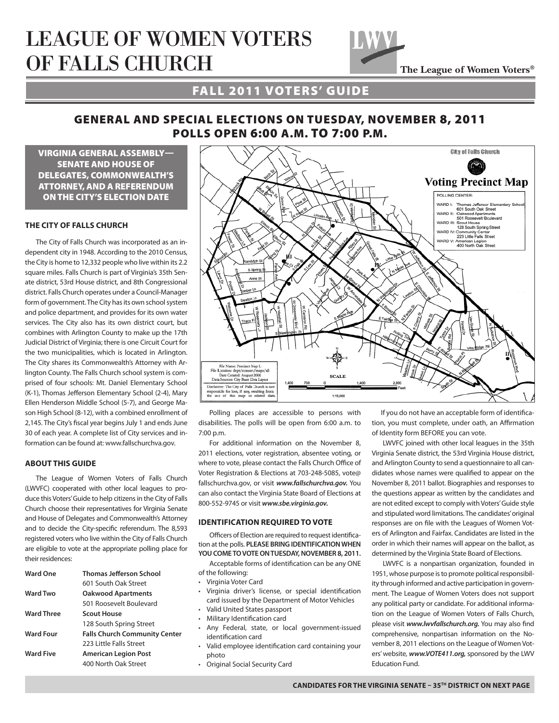# LEAGUE OF WOMEN VOTERS OF FALLS CHURCH



## FALL 2011 VOTERS' GUIDE

## GENERAL AND SPECIAL ELECTIONS ON TUESDAY, NOVEMBER 8, 2011 POLLS OPEN 6:00 A.M. TO 7:00 P.M.

VIRGINIA GENERAL ASSEMBLY— SENATE AND HOUSE OF DELEGATES, COMMONWEALTH'S ATTORNEY, AND A REFERENDUM ON THE CITY'S ELECTION DATE

#### **THE CITY OF FALLS CHURCH**

The City of Falls Church was incorporated as an independent city in 1948. According to the 2010 Census, the City is home to 12,332 people who live within its 2.2 square miles. Falls Church is part of Virginia's 35th Senate district, 53rd House district, and 8th Congressional district. Falls Church operates under a Council-Manager form of government. The City has its own school system and police department, and provides for its own water services. The City also has its own district court, but combines with Arlington County to make up the 17th Judicial District of Virginia; there is one Circuit Court for the two municipalities, which is located in Arlington. The City shares its Commonwealth's Attorney with Arlington County. The Falls Church school system is comprised of four schools: Mt. Daniel Elementary School (K-1), Thomas Jefferson Elementary School (2-4), Mary Ellen Henderson Middle School (5-7), and George Mason High School (8-12), with a combined enrollment of 2,145. The City's fiscal year begins July 1 and ends June 30 of each year. A complete list of City services and information can be found at: www.fallschurchva.gov.

#### **ABOUT THIS GUIDE**

The League of Women Voters of Falls Church (LWVFC) cooperated with other local leagues to produce this Voters' Guide to help citizens in the City of Falls Church choose their representatives for Virginia Senate and House of Delegates and Commonwealth's Attorney and to decide the City-specific referendum. The 8,593 registered voters who live within the City of Falls Church are eligible to vote at the appropriate polling place for their residences:

| <b>Ward One</b>   | <b>Thomas Jefferson School</b>       |  |
|-------------------|--------------------------------------|--|
|                   | 601 South Oak Street                 |  |
| <b>Ward Two</b>   | <b>Oakwood Apartments</b>            |  |
|                   | 501 Roosevelt Boulevard              |  |
| <b>Ward Three</b> | <b>Scout House</b>                   |  |
|                   | 128 South Spring Street              |  |
| <b>Ward Four</b>  | <b>Falls Church Community Center</b> |  |
|                   | 223 Little Falls Street              |  |
| <b>Ward Five</b>  | <b>American Legion Post</b>          |  |
|                   | 400 North Oak Street                 |  |



Polling places are accessible to persons with disabilities. The polls will be open from 6:00 a.m. to 7:00 p.m.

For additional information on the November 8, 2011 elections, voter registration, absentee voting, or where to vote, please contact the Falls Church Office of Voter Registration & Elections at 703-248-5085, vote@ fallschurchva.gov, or visit *www.fallschurchva.gov.* You can also contact the Virginia State Board of Elections at 800-552-9745 or visit *www.sbe.virginia.gov.* 

#### **IDENTIFICATION REQUIRED TO VOTE**

Officers of Election are required to request identification at the polls. **PLEASE BRING IDENTIFICATION WHEN YOU COME TO VOTE ON TUESDAY, NOVEMBER 8, 2011.**

Acceptable forms of identification can be any ONE of the following:

- Virginia Voter Card
- • Virginia driver's license, or special identification card issued by the Department of Motor Vehicles
- • Valid United States passport
- • Military Identification card
- • Any Federal, state, or local government-issued identification card
- Valid employee identification card containing your photo
- • Original Social Security Card

If you do not have an acceptable form of identification, you must complete, under oath, an Affirmation of Identity form BEFORE you can vote.

LWVFC joined with other local leagues in the 35th Virginia Senate district, the 53rd Virginia House district, and Arlington County to send a questionnaire to all candidates whose names were qualified to appear on the November 8, 2011 ballot. Biographies and responses to the questions appear as written by the candidates and are not edited except to comply with Voters' Guide style and stipulated word limitations. The candidates' original responses are on file with the Leagues of Women Voters of Arlington and Fairfax. Candidates are listed in the order in which their names will appear on the ballot, as determined by the Virginia State Board of Elections.

LWVFC is a nonpartisan organization, founded in 1951, whose purpose is to promote political responsibility through informed and active participation in government. The League of Women Voters does not support any political party or candidate. For additional information on the League of Women Voters of Falls Church, please visit *www.lwvfallschurch.org.* You may also find comprehensive, nonpartisan information on the November 8, 2011 elections on the League of Women Voters' website, *www.VOTE411.org,* sponsored by the LWV Education Fund.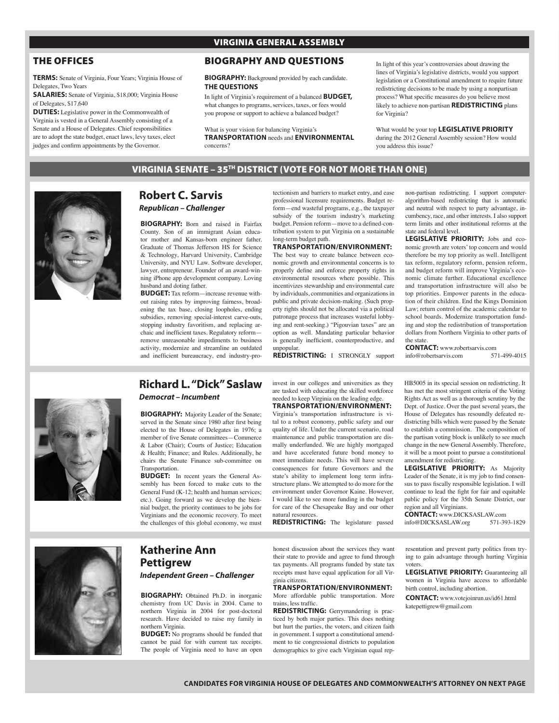## THE OFFICES

**TERMS:** Senate of Virginia, Four Years; Virginia House of Delegates, Two Years

**SALARIES:** Senate of Virginia, \$18,000; Virginia House of Delegates, \$17,640

**DUTIES:** Legislative power in the Commonwealth of Virginia is vested in a General Assembly consisting of a Senate and a House of Delegates. Chief responsibilities are to adopt the state budget, enact laws, levy taxes, elect judges and confirm appointments by the Governor.

## VIRGINIA GENERAL ASSEMBLY

## BIOGRAPHY AND QUESTIONS

**BIOGRAPHY:** Background provided by each candidate. **THE QUESTIONS**

In light of Virginia's requirement of a balanced **BUDGET,** what changes to programs, services, taxes, or fees would you propose or support to achieve a balanced budget?

What is your vision for balancing Virginia's **TRANSPORTATION** needs and **ENVIRONMENTAL** concerns?

In light of this year's controversies about drawing the lines of Virginia's legislative districts, would you support legislation or a Constitutional amendment to require future redistricting decisions to be made by using a nonpartisan process? What specific measures do you believe most likely to achieve non-partisan **REDISTRICTING** plans for Virginia?

What would be your top **LEGISLATIVE PRIORITY** during the 2012 General Assembly session? How would you address this issue?

VIRGINIA SENATE – 35TH DISTRICT (VOTE FOR NOT MORE THAN ONE)



## **Robert C. Sarvis** *Republican – Challenger*

**BIOGRAPHY:** Born and raised in Fairfax County. Son of an immigrant Asian educator mother and Kansas-born engineer father. Graduate of Thomas Jefferson HS for Science & Technology, Harvard University, Cambridge University, and NYU Law. Software developer, lawyer, entrepreneur. Founder of an award-winning iPhone app development company. Loving husband and doting father.

**BUDGET:** Tax reform—increase revenue without raising rates by improving fairness, broadening the tax base, closing loopholes, ending subsidies, removing special-interest carve-outs, stopping industry favoritism, and replacing archaic and inefficient taxes. Regulatory reform remove unreasonable impediments to business activity, modernize and streamline an outdated and inefficient bureaucracy, end industry-protectionism and barriers to market entry, and ease professional licensure requirements. Budget reform—end wasteful programs, e.g., the taxpayer subsidy of the tourism industry's marketing budget. Pension reform—move to a defined-contribution system to put Virginia on a sustainable long-term budget path.

## **TRANSPORTATION/ENVIRONMENT:**

The best way to create balance between economic growth and environmental concerns is to properly define and enforce property rights in environmental resources where possible. This incentivizes stewardship and environmental care by individuals, communities and organizations in public and private decision-making. (Such property rights should not be allocated via a political patronage process that increases wasteful lobbying and rent-seeking.) "Pigouvian taxes" are an option as well. Mandating particular behavior is generally inefficient, counterproductive, and unpopular. **REDISTRICTING:** I STRONGLY support

non-partisan redistricting. I support computeralgorithm-based redistricting that is automatic and neutral with respect to party advantage, incumbency, race, and other interests. I also support term limits and other institutional reforms at the state and federal level.

**LEGISLATIVE PRIORITY:** Jobs and economic growth are voters' top concern and would therefore be my top priority as well. Intelligent tax reform, regulatory reform, pension reform, and budget reform will improve Virginia's economic climate further. Educational excellence and transportation infrastructure will also be top priorities. Empower parents in the education of their children. End the Kings Dominion Law; return control of the academic calendar to school boards. Modernize transportation funding and stop the redistribution of transportation dollars from Northern Virginia to other parts of the state.

**CONTACT:** www.robertsarvis.com<br>info@robertsarvis.com 571-499-4015 info@robertsarvis.com



## **Richard L. "Dick" Saslaw**

*Democrat – Incumbent*

**BIOGRAPHY:** Majority Leader of the Senate; served in the Senate since 1980 after first being elected to the House of Delegates in 1976; a member of five Senate committees—Commerce & Labor (Chair); Courts of Justice; Education & Health; Finance; and Rules. Additionally, he chairs the Senate Finance sub-committee on Transportation.

**BUDGET:** In recent years the General Assembly has been forced to make cuts to the General Fund (K-12; health and human services; etc.). Going forward as we develop the biennial budget, the priority continues to be jobs for Virginians and the economic recovery. To meet the challenges of this global economy, we must

invest in our colleges and universities as they are tasked with educating the skilled workforce needed to keep Virginia on the leading edge.

#### **TRANSPORTATION/ENVIRONMENT:** Virginia's transportation infrastructure is vi-

tal to a robust economy, public safety and our quality of life. Under the current scenario, road maintenance and public transportation are dismally underfunded. We are highly mortgaged and have accelerated future bond money to meet immediate needs. This will have severe consequences for future Governors and the state's ability to implement long term infrastructure plans. We attempted to do more for the environment under Governor Kaine. However, I would like to see more funding in the budget for care of the Chesapeake Bay and our other natural resources.

**REDISTRICTING:** The legislature passed

HB5005 in its special session on redistricting. It has met the most stringent criteria of the Voting Rights Act as well as a thorough scrutiny by the Dept. of Justice. Over the past several years, the House of Delegates has resoundly defeated redistricting bills which were passed by the Senate to establish a commission. The composition of the partisan voting block is unlikely to see much change in the new General Assembly. Therefore, it will be a moot point to pursue a constitutional amendment for redistricting. **LEGISLATIVE PRIORITY:** As Majority

Leader of the Senate, it is my job to find consensus to pass fiscally responsible legislation. I will continue to lead the fight for fair and equitable public policy for the 35th Senate District, our region and all Virginians.

**CONTACT:** www.DICKSASLAW.com<br>info@DICKSASLAW.org 571-393-1829 info@DICKSASLAW.org



## **Katherine Ann Pettigrew** *Independent Green – Challenger*

**BIOGRAPHY:** Obtained Ph.D. in inorganic chemistry from UC Davis in 2004. Came to northern Virginia in 2004 for post-doctoral research. Have decided to raise my family in northern Virginia.

**BUDGET:** No programs should be funded that cannot be paid for with current tax receipts. The people of Virginia need to have an open honest discussion about the services they want their state to provide and agree to fund through tax payments. All programs funded by state tax receipts must have equal application for all Virginia citizens.

#### **TRANSPORTATION/ENVIRONMENT:** More affordable public transportation. More trains, less traffic.

**REDISTRICTING:** Gerrymandering is practiced by both major parties. This does nothing but hurt the parties, the voters, and citizen faith in government. I support a constitutional amendment to tie congressional districts to population demographics to give each Virginian equal representation and prevent party politics from trying to gain advantage through hurting Virginia voters.

**LEGISLATIVE PRIORITY:** Guaranteeing all women in Virginia have access to affordable birth control, including abortion.

**CONTACT:** www.votejoinrun.us/id61.html katepettigrew@gmail.com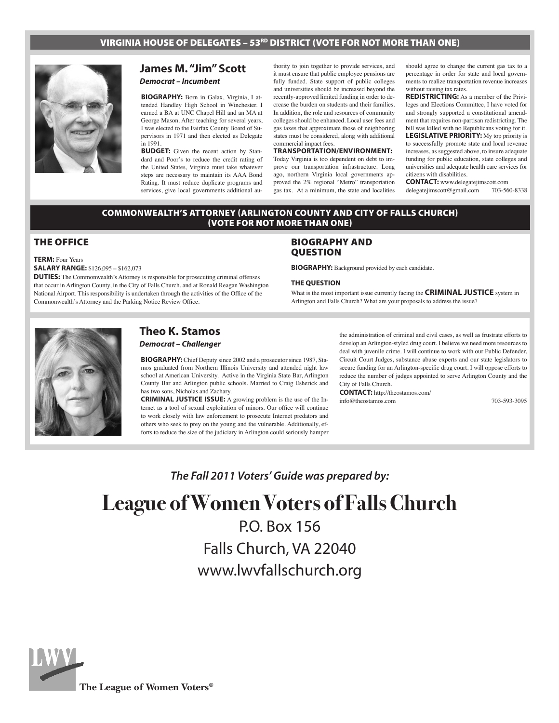## VIRGINIA HOUSE OF DELEGATES – 53<sup>RD</sup> DISTRICT (VOTE FOR NOT MORE THAN ONE)



## **James M. "Jim" Scott** *Democrat – Incumbent*

**BIOGRAPHY:** Born in Galax, Virginia, I attended Handley High School in Winchester. I earned a BA at UNC Chapel Hill and an MA at George Mason. After teaching for several years, I was elected to the Fairfax County Board of Supervisors in 1971 and then elected as Delegate in 1991.

**BUDGET:** Given the recent action by Standard and Poor's to reduce the credit rating of the United States, Virginia must take whatever steps are necessary to maintain its AAA Bond Rating. It must reduce duplicate programs and services, give local governments additional au-

thority to join together to provide services, and it must ensure that public employee pensions are fully funded. State support of public colleges and universities should be increased beyond the recently-approved limited funding in order to decrease the burden on students and their families. In addition, the role and resources of community colleges should be enhanced. Local user fees and gas taxes that approximate those of neighboring states must be considered, along with additional commercial impact fees.

### **TRANSPORTATION/ENVIRONMENT:**

Today Virginia is too dependent on debt to improve our transportation infrastructure. Long ago, northern Virginia local governments approved the 2% regional "Metro" transportation gas tax. At a minimum, the state and localities should agree to change the current gas tax to a percentage in order for state and local governments to realize transportation revenue increases without raising tax rates.

**REDISTRICTING:** As a member of the Privileges and Elections Committee, I have voted for and strongly supported a constitutional amendment that requires non-partisan redistricting. The bill was killed with no Republicans voting for it. **LEGISLATIVE PRIORITY:** My top priority is to successfully promote state and local revenue increases, as suggested above, to insure adequate funding for public education, state colleges and universities and adequate health care services for citizens with disabilities.

**CONTACT:** www.delegatejimscott.com<br>delegatejimscott@gmail.com 703-560-8338 delegatejimscott@gmail.com

#### COMMONWEALTH'S ATTORNEY (ARLINGTON COUNTY AND CITY OF FALLS CHURCH) (VOTE FOR NOT MORE THAN ONE)

## THE OFFICE

**TERM:** Four Years

#### **SALARY RANGE:** \$126,095 – \$162,073

**DUTIES:** The Commonwealth's Attorney is responsible for prosecuting criminal offenses that occur in Arlington County, in the City of Falls Church, and at Ronald Reagan Washington National Airport. This responsibility is undertaken through the activities of the Office of the Commonwealth's Attorney and the Parking Notice Review Office.

### BIOGRAPHY AND QUESTION

**BIOGRAPHY:** Background provided by each candidate.

#### **THE QUESTION**

What is the most important issue currently facing the **CRIMINAL JUSTICE** system in Arlington and Falls Church? What are your proposals to address the issue?



## **Theo K. Stamos** *Democrat – Challenger*

**BIOGRAPHY:** Chief Deputy since 2002 and a prosecutor since 1987, Stamos graduated from Northern Illinois University and attended night law school at American University. Active in the Virginia State Bar, Arlington County Bar and Arlington public schools. Married to Craig Esherick and has two sons, Nicholas and Zachary.

**CRIMINAL JUSTICE ISSUE:** A growing problem is the use of the Internet as a tool of sexual exploitation of minors. Our office will continue to work closely with law enforcement to prosecute Internet predators and others who seek to prey on the young and the vulnerable. Additionally, efforts to reduce the size of the judiciary in Arlington could seriously hamper the administration of criminal and civil cases, as well as frustrate efforts to develop an Arlington-styled drug court. I believe we need more resources to deal with juvenile crime. I will continue to work with our Public Defender, Circuit Court Judges, substance abuse experts and our state legislators to secure funding for an Arlington-specific drug court. I will oppose efforts to reduce the number of judges appointed to serve Arlington County and the City of Falls Church.

**CONTACT:** http://theostamos.com/ info@theostamos.com 703-593-3095

*The Fall 2011 Voters' Guide was prepared by:*

# **League of Women Voters of Falls Church** P.O. Box 156

Falls Church, VA 22040 www.lwvfallschurch.org



**The League of Women Voters®**